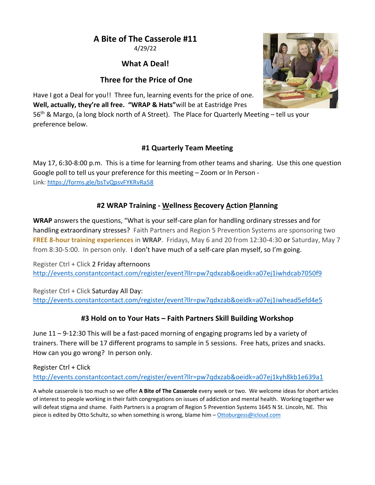# **A Bite of The Casserole #11**

4/29/22

# **What A Deal!**

# **Three for the Price of One**



Have I got a Deal for you!! Three fun, learning events for the price of one. **Well, actually, they're all free. "WRAP & Hats"**will be at Eastridge Pres

56<sup>th</sup> & Margo, (a long block north of A Street). The Place for Quarterly Meeting – tell us your preference below.

### **#1 Quarterly Team Meeting**

May 17, 6:30-8:00 p.m. This is a time for learning from other teams and sharing. Use this one question Google poll to tell us your preference for this meeting – Zoom or In Person - Link: https://forms.gle/bsTvQpsvFYKRvRa58

### **#2 WRAP Training - Wellness Recovery Action Planning**

**WRAP** answers the questions, "What is your self-care plan for handling ordinary stresses and for handling extraordinary stresses? Faith Partners and Region 5 Prevention Systems are sponsoring two **FREE 8-hour training experiences** in **WRAP**. Fridays, May 6 and 20 from 12:30-4:30 **or** Saturday, May 7 from 8:30-5:00. In person only. I don't have much of a self-care plan myself, so I'm going.

Register Ctrl + Click 2 Friday afternoons http://events.constantcontact.com/register/event?llr=pw7qdxzab&oeidk=a07ej1iwhdcab7050f9

Register Ctrl + Click Saturday All Day: http://events.constantcontact.com/register/event?llr=pw7qdxzab&oeidk=a07ej1iwhead5efd4e5

### **#3 Hold on to Your Hats – Faith Partners Skill Building Workshop**

June 11 – 9-12:30 This will be a fast-paced morning of engaging programs led by a variety of trainers. There will be 17 different programs to sample in 5 sessions. Free hats, prizes and snacks. How can you go wrong? In person only.

Register Ctrl + Click http://events.constantcontact.com/register/event?llr=pw7qdxzab&oeidk=a07ej1kyh8kb1e639a1

A whole casserole is too much so we offer **A Bite of The Casserole** every week or two. We welcome ideas for short articles of interest to people working in their faith congregations on issues of addiction and mental health. Working together we will defeat stigma and shame. Faith Partners is a program of Region 5 Prevention Systems 1645 N St. Lincoln, NE. This piece is edited by Otto Schultz, so when something is wrong, blame him – Ottoburgess@icloud.com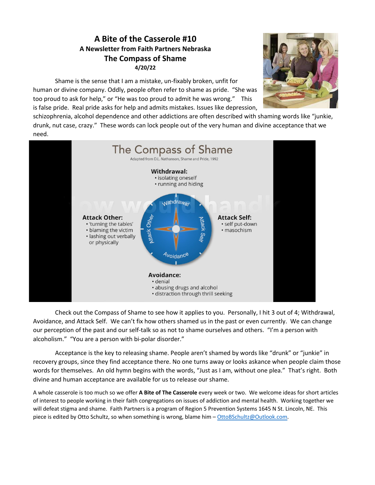### **A Bite of the Casserole #10 A Newsletter from Faith Partners Nebraska The Compass of Shame 4/20/22**

Shame is the sense that I am a mistake, un-fixably broken, unfit for human or divine company. Oddly, people often refer to shame as pride. "She was too proud to ask for help," or "He was too proud to admit he was wrong." This is false pride. Real pride asks for help and admits mistakes. Issues like depression,



schizophrenia, alcohol dependence and other addictions are often described with shaming words like "junkie, drunk, nut case, crazy." These words can lock people out of the very human and divine acceptance that we need.



Check out the Compass of Shame to see how it applies to you. Personally, I hit 3 out of 4; Withdrawal, Avoidance, and Attack Self. We can't fix how others shamed us in the past or even currently. We can change our perception of the past and our self-talk so as not to shame ourselves and others. "I'm a person with alcoholism." "You are a person with bi-polar disorder."

Acceptance is the key to releasing shame. People aren't shamed by words like "drunk" or "junkie" in recovery groups, since they find acceptance there. No one turns away or looks askance when people claim those words for themselves. An old hymn begins with the words, "Just as I am, without one plea." That's right. Both divine and human acceptance are available for us to release our shame.

A whole casserole is too much so we offer **A Bite of The Casserole** every week or two. We welcome ideas for short articles of interest to people working in their faith congregations on issues of addiction and mental health. Working together we will defeat stigma and shame. Faith Partners is a program of Region 5 Prevention Systems 1645 N St. Lincoln, NE. This piece is edited by Otto Schultz, so when something is wrong, blame him – OttoBSchultz@Outlook.com.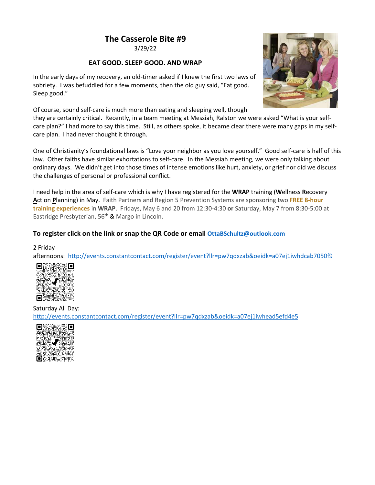3/29/22

#### **EAT GOOD. SLEEP GOOD. AND WRAP**

In the early days of my recovery, an old-timer asked if I knew the first two laws of sobriety. I was befuddled for a few moments, then the old guy said, "Eat good. Sleep good."



Of course, sound self-care is much more than eating and sleeping well, though

they are certainly critical. Recently, in a team meeting at Messiah, Ralston we were asked "What is your selfcare plan?" I had more to say this time. Still, as others spoke, it became clear there were many gaps in my selfcare plan. I had never thought it through.

One of Christianity's foundational laws is "Love your neighbor as you love yourself." Good self-care is half of this law. Other faiths have similar exhortations to self-care. In the Messiah meeting, we were only talking about ordinary days. We didn't get into those times of intense emotions like hurt, anxiety, or grief nor did we discuss the challenges of personal or professional conflict.

I need help in the area of self-care which is why I have registered for the **WRAP** training (**W**ellness **R**ecovery **A**ction **P**lanning) in May. Faith Partners and Region 5 Prevention Systems are sponsoring two **FREE 8-hour training experiences** in **WRAP**. Fridays, May 6 and 20 from 12:30-4:30 **or** Saturday, May 7 from 8:30-5:00 at Eastridge Presbyterian, 56<sup>th</sup> & Margo in Lincoln.

### **To register click on the link or snap the QR Code or email OttaBSchultz@outlook.com**

2 Friday

afternoons: http://events.constantcontact.com/register/event?llr=pw7qdxzab&oeidk=a07ej1iwhdcab7050f9



Saturday All Day: http://events.constantcontact.com/register/event?llr=pw7qdxzab&oeidk=a07ej1iwhead5efd4e5

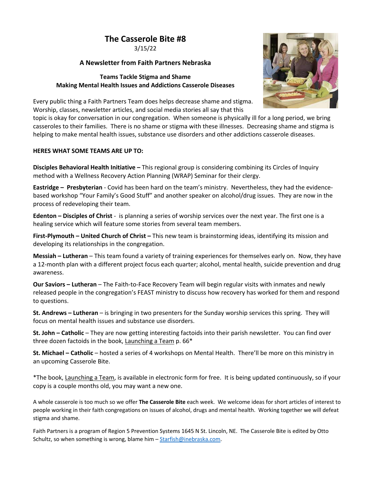3/15/22

#### **A Newsletter from Faith Partners Nebraska**

#### **Teams Tackle Stigma and Shame Making Mental Health Issues and Addictions Casserole Diseases**



Every public thing a Faith Partners Team does helps decrease shame and stigma. Worship, classes, newsletter articles, and social media stories all say that this

topic is okay for conversation in our congregation. When someone is physically ill for a long period, we bring casseroles to their families. There is no shame or stigma with these illnesses. Decreasing shame and stigma is helping to make mental health issues, substance use disorders and other addictions casserole diseases.

#### **HERES WHAT SOME TEAMS ARE UP TO:**

**Disciples Behavioral Health Initiative –** This regional group is considering combining its Circles of Inquiry method with a Wellness Recovery Action Planning (WRAP) Seminar for their clergy.

**Eastridge – Presbyterian** - Covid has been hard on the team's ministry. Nevertheless, they had the evidencebased workshop "Your Family's Good Stuff" and another speaker on alcohol/drug issues. They are now in the process of redeveloping their team.

**Edenton – Disciples of Christ** - is planning a series of worship services over the next year. The first one is a healing service which will feature some stories from several team members.

**First-Plymouth – United Church of Christ –** This new team is brainstorming ideas, identifying its mission and developing its relationships in the congregation.

**Messiah – Lutheran** – This team found a variety of training experiences for themselves early on. Now, they have a 12-month plan with a different project focus each quarter; alcohol, mental health, suicide prevention and drug awareness.

**Our Saviors – Lutheran** – The Faith-to-Face Recovery Team will begin regular visits with inmates and newly released people in the congregation's FEAST ministry to discuss how recovery has worked for them and respond to questions.

**St. Andrews – Lutheran** – is bringing in two presenters for the Sunday worship services this spring. They will focus on mental health issues and substance use disorders.

**St. John – Catholic** – They are now getting interesting factoids into their parish newsletter. You can find over three dozen factoids in the book, Launching a Team p. 66\*

**St. Michael – Catholic** – hosted a series of 4 workshops on Mental Health. There'll be more on this ministry in an upcoming Casserole Bite.

\*The book, Launching a Team, is available in electronic form for free. It is being updated continuously, so if your copy is a couple months old, you may want a new one.

A whole casserole is too much so we offer **The Casserole Bite** each week. We welcome ideas for short articles of interest to people working in their faith congregations on issues of alcohol, drugs and mental health. Working together we will defeat stigma and shame.

Faith Partners is a program of Region 5 Prevention Systems 1645 N St. Lincoln, NE. The Casserole Bite is edited by Otto Schultz, so when something is wrong, blame him – Starfish@inebraska.com.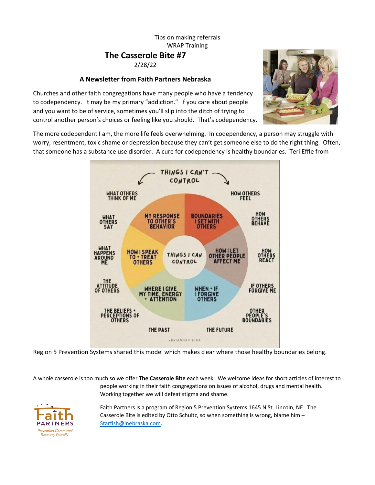### Tips on making referrals WRAP Training **The Casserole Bite #7** 2/28/22

#### **A Newsletter from Faith Partners Nebraska**



Churches and other faith congregations have many people who have a tendency to codependency. It may be my primary "addiction." If you care about people and you want to be of service, sometimes you'll slip into the ditch of trying to control another person's choices or feeling like you should. That's codependency.

The more codependent I am, the more life feels overwhelming. In codependency, a person may struggle with worry, resentment, toxic shame or depression because they can't get someone else to do the right thing. Often, that someone has a substance use disorder. A cure for codependency is healthy boundaries. Teri Effle from



Region 5 Prevention Systems shared this model which makes clear where those healthy boundaries belong.

A whole casserole is too much so we offer **The Casserole Bite** each week. We welcome ideas for short articles of interest to people working in their faith congregations on issues of alcohol, drugs and mental health. Working together we will defeat stigma and shame.



Faith Partners is a program of Region 5 Prevention Systems 1645 N St. Lincoln, NE. The Casserole Bite is edited by Otto Schultz, so when something is wrong, blame him – Starfish@inebraska.com.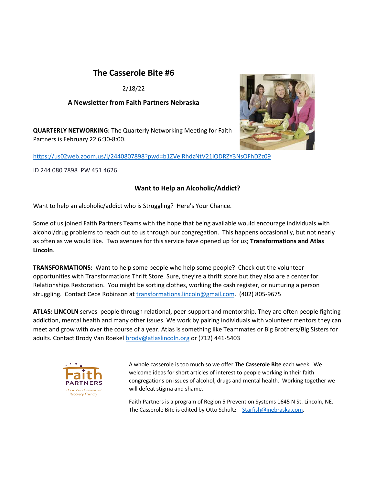2/18/22

#### **A Newsletter from Faith Partners Nebraska**

**QUARTERLY NETWORKING:** The Quarterly Networking Meeting for Faith Partners is February 22 6:30-8:00.

https://us02web.zoom.us/j/2440807898?pwd=b1ZVelRhdzNtV21iODRZY3NsOFhDZz09

ID 244 080 7898 PW 451 4626

### **Want to Help an Alcoholic/Addict?**

Want to help an alcoholic/addict who is Struggling? Here's Your Chance.

Some of us joined Faith Partners Teams with the hope that being available would encourage individuals with alcohol/drug problems to reach out to us through our congregation. This happens occasionally, but not nearly as often as we would like. Two avenues for this service have opened up for us; **Transformations and Atlas Lincoln**.

**TRANSFORMATIONS:** Want to help some people who help some people? Check out the volunteer opportunities with Transformations Thrift Store. Sure, they're a thrift store but they also are a center for Relationships Restoration. You might be sorting clothes, working the cash register, or nurturing a person struggling. Contact Cece Robinson at transformations.lincoln@gmail.com. (402) 805-9675

**ATLAS: LINCOLN** serves people through relational, peer-support and mentorship. They are often people fighting addiction, mental health and many other issues. We work by pairing individuals with volunteer mentors they can meet and grow with over the course of a year. Atlas is something like Teammates or Big Brothers/Big Sisters for adults. Contact Brody Van Roekel brody@atlaslincoln.org or (712) 441-5403



A whole casserole is too much so we offer **The Casserole Bite** each week. We welcome ideas for short articles of interest to people working in their faith congregations on issues of alcohol, drugs and mental health. Working together we will defeat stigma and shame.

Faith Partners is a program of Region 5 Prevention Systems 1645 N St. Lincoln, NE. The Casserole Bite is edited by Otto Schultz – Starfish@inebraska.com.

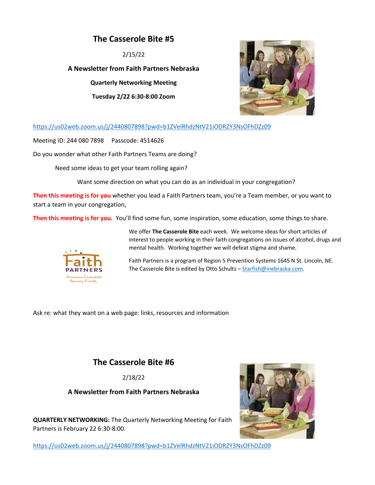2/15/22

**A Newsletter from Faith Partners Nebraska**

**Quarterly Networking Meeting** 

**Tuesday 2/22 6:30-8:00 Zoom**



https://us02web.zoom.us/j/2440807898?pwd=b1ZVelRhdzNtV21iODRZY3NsOFhDZz09

Meeting ID: 244 080 7898 Passcode: 4514626

Do you wonder what other Faith Partners Teams are doing?

Need some ideas to get your team rolling again?

Want some direction on what you can do as an individual in your congregation?

**Then this meeting is for you** whether you lead a Faith Partners team, you're a Team member, or you want to start a team in your congregation,

**Then this meeting is for you.** You'll find some fun, some inspiration, some education, some things to share.



We offer **The Casserole Bite** each week. We welcome ideas for short articles of interest to people working in their faith congregations on issues of alcohol, drugs and mental health. Working together we will defeat stigma and shame.

Faith Partners is a program of Region 5 Prevention Systems 1645 N St. Lincoln, NE. The Casserole Bite is edited by Otto Schultz – Starfish@inebraska.com.

Ask re: what they want on a web page: links, resources and information

# **The Casserole Bite #6**

2/18/22

**A Newsletter from Faith Partners Nebraska**

**QUARTERLY NETWORKING:** The Quarterly Networking Meeting for Faith Partners is February 22 6:30-8:00.



https://us02web.zoom.us/j/2440807898?pwd=b1ZVelRhdzNtV21iODRZY3NsOFhDZz09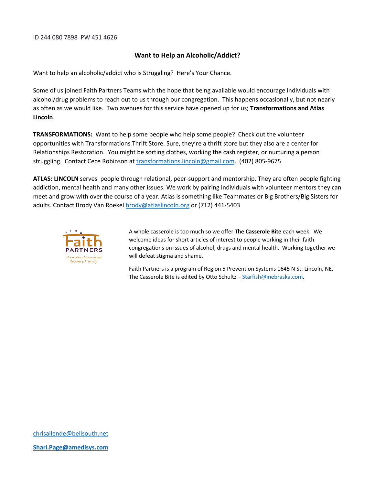ID 244 080 7898 PW 451 4626

#### **Want to Help an Alcoholic/Addict?**

Want to help an alcoholic/addict who is Struggling? Here's Your Chance.

Some of us joined Faith Partners Teams with the hope that being available would encourage individuals with alcohol/drug problems to reach out to us through our congregation. This happens occasionally, but not nearly as often as we would like. Two avenues for this service have opened up for us; **Transformations and Atlas Lincoln**.

**TRANSFORMATIONS:** Want to help some people who help some people? Check out the volunteer opportunities with Transformations Thrift Store. Sure, they're a thrift store but they also are a center for Relationships Restoration. You might be sorting clothes, working the cash register, or nurturing a person struggling. Contact Cece Robinson at transformations.lincoln@gmail.com. (402) 805-9675

**ATLAS: LINCOLN** serves people through relational, peer-support and mentorship. They are often people fighting addiction, mental health and many other issues. We work by pairing individuals with volunteer mentors they can meet and grow with over the course of a year. Atlas is something like Teammates or Big Brothers/Big Sisters for adults. Contact Brody Van Roekel brody@atlaslincoln.org or (712) 441-5403



A whole casserole is too much so we offer **The Casserole Bite** each week. We welcome ideas for short articles of interest to people working in their faith congregations on issues of alcohol, drugs and mental health. Working together we will defeat stigma and shame.

Faith Partners is a program of Region 5 Prevention Systems 1645 N St. Lincoln, NE. The Casserole Bite is edited by Otto Schultz - Starfish@inebraska.com.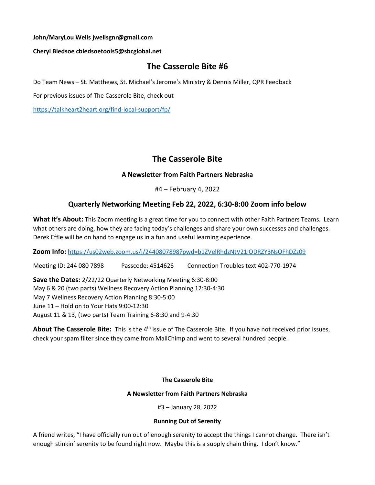#### **John/MaryLou Wells jwellsgnr@gmail.com**

#### **Cheryl Bledsoe cbledsoetools5@sbcglobal.net**

### **The Casserole Bite #6**

Do Team News – St. Matthews, St. Michael's Jerome's Ministry & Dennis Miller, QPR Feedback

For previous issues of The Casserole Bite, check out

https://talkheart2heart.org/find-local-support/fp/

# **The Casserole Bite**

### **A Newsletter from Faith Partners Nebraska**

#4 – February 4, 2022

### **Quarterly Networking Meeting Feb 22, 2022, 6:30-8:00 Zoom info below**

**What It's About:** This Zoom meeting is a great time for you to connect with other Faith Partners Teams. Learn what others are doing, how they are facing today's challenges and share your own successes and challenges. Derek Effle will be on hand to engage us in a fun and useful learning experience.

**Zoom Info:** https://us02web.zoom.us/j/2440807898?pwd=b1ZVelRhdzNtV21iODRZY3NsOFhDZz09

Meeting ID: 244 080 7898 Passcode: 4514626 Connection Troubles text 402-770-1974

**Save the Dates:** 2/22/22 Quarterly Networking Meeting 6:30-8:00 May 6 & 20 (two parts) Wellness Recovery Action Planning 12:30-4:30 May 7 Wellness Recovery Action Planning 8:30-5:00 June 11 – Hold on to Your Hats 9:00-12:30 August 11 & 13, (two parts) Team Training 6-8:30 and 9-4:30

About The Casserole Bite: This is the 4<sup>th</sup> issue of The Casserole Bite. If you have not received prior issues, check your spam filter since they came from MailChimp and went to several hundred people.

#### **The Casserole Bite**

#### **A Newsletter from Faith Partners Nebraska**

#3 – January 28, 2022

#### **Running Out of Serenity**

A friend writes, "I have officially run out of enough serenity to accept the things I cannot change. There isn't enough stinkin' serenity to be found right now. Maybe this is a supply chain thing. I don't know."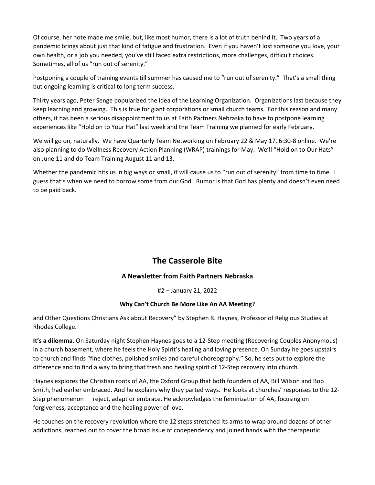Of course, her note made me smile, but, like most humor, there is a lot of truth behind it. Two years of a pandemic brings about just that kind of fatigue and frustration. Even if you haven't lost someone you love, your own health, or a job you needed, you've still faced extra restrictions, more challenges, difficult choices. Sometimes, all of us "run out of serenity."

Postponing a couple of training events till summer has caused me to "run out of serenity." That's a small thing but ongoing learning is critical to long term success.

Thirty years ago, Peter Senge popularized the idea of the Learning Organization. Organizations last because they keep learning and growing. This is true for giant corporations or small church teams. For this reason and many others, it has been a serious disappointment to us at Faith Partners Nebraska to have to postpone learning experiences like "Hold on to Your Hat" last week and the Team Training we planned for early February.

We will go on, naturally. We have Quarterly Team Networking on February 22 & May 17, 6:30-8 online. We're also planning to do Wellness Recovery Action Planning (WRAP) trainings for May. We'll "Hold on to Our Hats" on June 11 and do Team Training August 11 and 13.

Whether the pandemic hits us in big ways or small, it will cause us to "run out of serenity" from time to time. I guess that's when we need to borrow some from our God. Rumor is that God has plenty and doesn't even need to be paid back.

# **The Casserole Bite**

### **A Newsletter from Faith Partners Nebraska**

#2 – January 21, 2022

#### **Why Can't Church Be More Like An AA Meeting?**

and Other Questions Christians Ask about Recovery" by Stephen R. Haynes, Professor of Religious Studies at Rhodes College.

**It's a dilemma.** On Saturday night Stephen Haynes goes to a 12-Step meeting (Recovering Couples Anonymous) in a church basement, where he feels the Holy Spirit's healing and loving presence. On Sunday he goes upstairs to church and finds "fine clothes, polished smiles and careful choreography." So, he sets out to explore the difference and to find a way to bring that fresh and healing spirit of 12-Step recovery into church.

Haynes explores the Christian roots of AA, the Oxford Group that both founders of AA, Bill Wilson and Bob Smith, had earlier embraced. And he explains why they parted ways. He looks at churches' responses to the 12- Step phenomenon — reject, adapt or embrace. He acknowledges the feminization of AA, focusing on forgiveness, acceptance and the healing power of love.

He touches on the recovery revolution where the 12 steps stretched its arms to wrap around dozens of other addictions, reached out to cover the broad issue of codependency and joined hands with the therapeutic